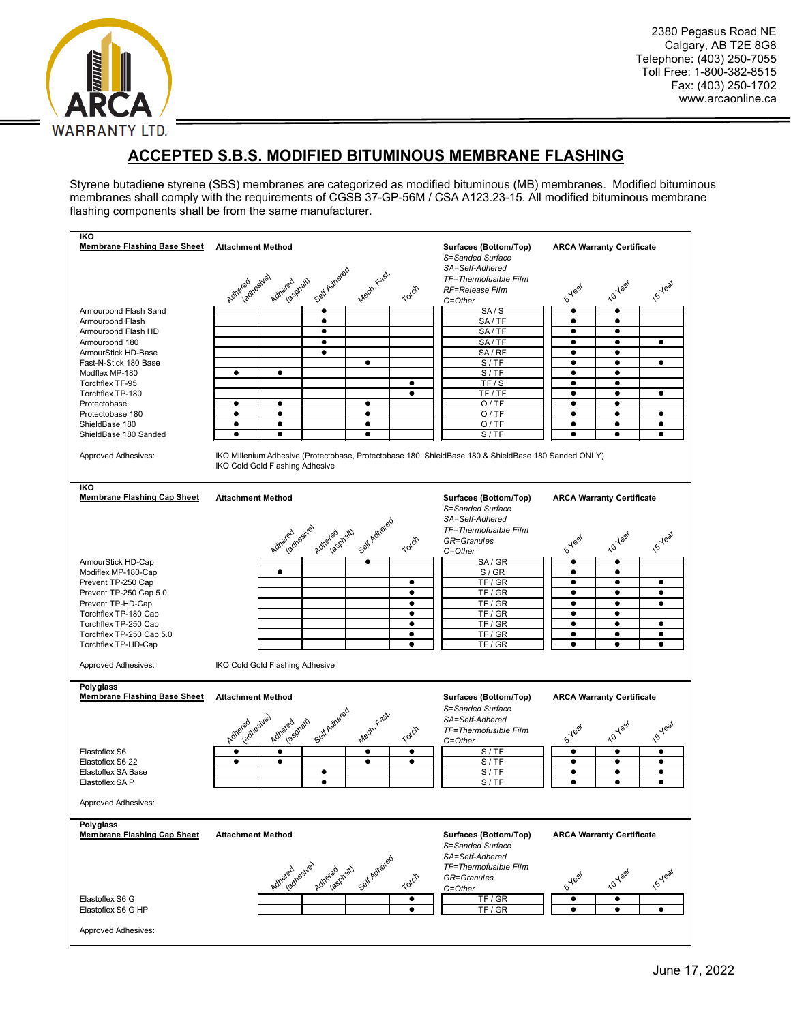

# **ACCEPTED S.B.S. MODIFIED BITUMINOUS MEMBRANE FLASHING**

Styrene butadiene styrene (SBS) membranes are categorized as modified bituminous (MB) membranes. Modified bituminous membranes shall comply with the requirements of CGSB 37-GP-56M / CSA A123.23-15. All modified bituminous membrane flashing components shall be from the same manufacturer.

| <b>IKO</b><br><b>Membrane Flashing Base Sheet</b>                       | <b>Attachment Method</b>                                                                                                                                                                                                                      |                 |                         |              |           | Surfaces (Bottom/Top)<br>S=Sanded Surface<br>SA=Self-Adhered | <b>ARCA Warranty Certificate</b> |                        |                |
|-------------------------------------------------------------------------|-----------------------------------------------------------------------------------------------------------------------------------------------------------------------------------------------------------------------------------------------|-----------------|-------------------------|--------------|-----------|--------------------------------------------------------------|----------------------------------|------------------------|----------------|
|                                                                         | Adreed resive)                                                                                                                                                                                                                                | Adhered phath   | Self Adhered            | Mech. Fast.  | Torch     | TF=Thermofusible Film<br>RF=Release Film<br>O=Other          | <b>S</b> Year                    | 10 Year                | <b>15 Year</b> |
| Armourbond Flash Sand                                                   |                                                                                                                                                                                                                                               |                 | $\bullet$               |              |           | SA/S                                                         | $\bullet$                        | $\bullet$              |                |
| Armourbond Flash                                                        |                                                                                                                                                                                                                                               |                 | ٠                       |              |           | SA/TF                                                        | ٠                                | ٠                      |                |
| Armourbond Flash HD                                                     |                                                                                                                                                                                                                                               |                 | $\bullet$<br>$\bullet$  |              |           | SA/TF                                                        | $\bullet$<br>$\bullet$           | $\bullet$<br>$\bullet$ | $\bullet$      |
| Armourbond 180                                                          |                                                                                                                                                                                                                                               |                 |                         |              |           | SA/TF                                                        |                                  |                        |                |
| ArmourStick HD-Base<br>Fast-N-Stick 180 Base                            |                                                                                                                                                                                                                                               |                 | Ò                       | $\bullet$    |           | SA/RF<br>S/TF                                                | $\bullet$<br>$\bullet$           | ٠<br>$\bullet$         | $\bullet$      |
| Modflex MP-180                                                          | $\bullet$                                                                                                                                                                                                                                     | $\bullet$       |                         |              |           | S/TF                                                         | $\bullet$                        | $\bullet$              |                |
| Torchflex TF-95                                                         |                                                                                                                                                                                                                                               |                 |                         |              | $\bullet$ | TF/S                                                         |                                  | ٠                      |                |
|                                                                         |                                                                                                                                                                                                                                               |                 |                         |              | $\bullet$ | TF / TF                                                      | $\bullet$                        | $\bullet$              | $\bullet$      |
| Torchflex TP-180                                                        | $\bullet$                                                                                                                                                                                                                                     | $\bullet$       |                         | $\bullet$    |           | O/TE                                                         | $\bullet$                        | $\bullet$              |                |
| Protectobase                                                            | ٠                                                                                                                                                                                                                                             | $\bullet$       |                         | ٠            |           | O/TE                                                         |                                  | ٠                      | ٠              |
| Protectobase 180<br>ShieldBase 180                                      | $\bullet$                                                                                                                                                                                                                                     | $\bullet$       |                         | $\bullet$    |           | O/TE                                                         | ٠                                | ٠                      | $\bullet$      |
|                                                                         | $\bullet$                                                                                                                                                                                                                                     | $\bullet$       |                         | $\bullet$    |           | S/TF                                                         | $\bullet$                        | $\bullet$              | $\bullet$      |
| ShieldBase 180 Sanded                                                   |                                                                                                                                                                                                                                               |                 |                         |              |           |                                                              |                                  |                        |                |
| <b>Approved Adhesives:</b><br>IKO<br><b>Membrane Flashing Cap Sheet</b> | IKO Millenium Adhesive (Protectobase, Protectobase 180, ShieldBase 180 & ShieldBase 180 Sanded ONLY)<br>IKO Cold Gold Flashing Adhesive<br><b>ARCA Warranty Certificate</b><br>Attachment Method<br>Surfaces (Bottom/Top)<br>S=Sanded Surface |                 |                         |              |           |                                                              |                                  |                        |                |
|                                                                         |                                                                                                                                                                                                                                               | Adreadyssive)   | iv. v. Viath<br>Adhered | Self Adhered | Torch     | SA=Self-Adhered<br>TF=Thermofusible Film<br>GR=Granules      | <b>S</b> Year                    | <b>10 year</b>         | <b>15-Year</b> |
|                                                                         |                                                                                                                                                                                                                                               |                 |                         |              |           | O=Other                                                      |                                  |                        |                |
| ArmourStick HD-Cap                                                      |                                                                                                                                                                                                                                               |                 |                         | $\bullet$    |           | SA/GR                                                        | $\bullet$                        | $\bullet$              |                |
| Modiflex MP-180-Cap                                                     |                                                                                                                                                                                                                                               | $\bullet$       |                         |              |           | S/GR                                                         | $\bullet$                        | $\bullet$              |                |
| Prevent TP-250 Cap                                                      |                                                                                                                                                                                                                                               |                 |                         |              | ٠         | TF / GR                                                      | ٠                                | ٠                      | ٠              |
| Prevent TP-250 Cap 5.0                                                  |                                                                                                                                                                                                                                               |                 |                         |              | $\bullet$ | TF / GR                                                      | ٠                                | $\bullet$              | $\bullet$      |
| Prevent TP-HD-Cap                                                       |                                                                                                                                                                                                                                               |                 |                         |              | $\bullet$ | TF / GR                                                      | $\bullet$                        | $\bullet$              | $\bullet$      |
| Torchflex TP-180 Cap                                                    |                                                                                                                                                                                                                                               |                 |                         |              | ٠         | TF/GR                                                        | ٠                                | ٠                      |                |
| Torchflex TP-250 Cap                                                    |                                                                                                                                                                                                                                               |                 |                         |              | $\bullet$ | TF/GR                                                        | ٠                                | ٠                      | ٠              |
| Torchflex TP-250 Cap 5.0                                                |                                                                                                                                                                                                                                               |                 |                         |              | $\bullet$ | TF/GR                                                        | $\bullet$                        | $\bullet$              | $\bullet$      |
| Torchflex TP-HD-Cap                                                     |                                                                                                                                                                                                                                               |                 |                         |              | $\bullet$ | TF/GR                                                        | $\bullet$                        | $\bullet$              | $\bullet$      |
|                                                                         |                                                                                                                                                                                                                                               |                 |                         |              |           |                                                              |                                  |                        |                |
| <b>Approved Adhesives:</b>                                              | IKO Cold Gold Flashing Adhesive                                                                                                                                                                                                               |                 |                         |              |           |                                                              |                                  |                        |                |
| Polyglass<br><b>Membrane Flashing Base Sheet</b>                        |                                                                                                                                                                                                                                               |                 |                         |              |           | Surfaces (Bottom/Top)                                        | <b>ARCA Warranty Certificate</b> |                        |                |
|                                                                         | <b>Attachment Method</b><br>Adreeahesive)                                                                                                                                                                                                     |                 |                         |              |           | S=Sanded Surface                                             |                                  |                        |                |
|                                                                         |                                                                                                                                                                                                                                               |                 |                         |              |           |                                                              |                                  |                        |                |
|                                                                         |                                                                                                                                                                                                                                               | Adriendato      | Self Adhered            | Mech. Fast.  |           | SA=Self-Adhered                                              |                                  | 10 Year                | <b>15-Yeal</b> |
|                                                                         |                                                                                                                                                                                                                                               |                 |                         |              | Torch     | TF=Thermofusible Film                                        | <b>SYR</b> ear                   |                        |                |
|                                                                         |                                                                                                                                                                                                                                               |                 |                         |              |           | O=Other                                                      |                                  |                        |                |
| Elastoflex S6                                                           | $\bullet$                                                                                                                                                                                                                                     | $\bullet$       |                         | ٠            | ٠         | S/TF                                                         | ٠                                | ٠                      | ٠              |
| Elastoflex S6 22                                                        | $\bullet$                                                                                                                                                                                                                                     | $\bullet$       |                         | $\bullet$    | $\bullet$ | S/TF                                                         | ٠                                | $\bullet$              | $\bullet$      |
| Elastoflex SA Base                                                      |                                                                                                                                                                                                                                               |                 | ٠                       |              |           | S/TF                                                         | ٠<br>$\bullet$                   | $\bullet$              | ٠<br>$\bullet$ |
| Elastoflex SAP                                                          |                                                                                                                                                                                                                                               |                 | $\bullet$               |              |           | S/TF                                                         |                                  | $\bullet$              |                |
| <b>Approved Adhesives:</b>                                              |                                                                                                                                                                                                                                               |                 |                         |              |           |                                                              |                                  |                        |                |
| Polyglass<br><b>Membrane Flashing Cap Sheet</b>                         | <b>Attachment Method</b>                                                                                                                                                                                                                      |                 |                         |              |           | Surfaces (Bottom/Top)<br>S=Sanded Surface                    | <b>ARCA Warranty Certificate</b> |                        |                |
|                                                                         |                                                                                                                                                                                                                                               | Adhered Resive) | Adhered grath           | Self Adhered | Torch     | SA=Self-Adhered<br>TF=Thermofusible Film<br>GR=Granules      | <b>STRat</b>                     | 10 Year                | <b>15 Year</b> |
|                                                                         |                                                                                                                                                                                                                                               |                 |                         |              |           | O=Other                                                      |                                  |                        |                |
| Elastoflex S6 G                                                         |                                                                                                                                                                                                                                               |                 |                         |              | $\bullet$ | TF / GR                                                      | ٠                                | ٠                      |                |
| Elastoflex S6 G HP                                                      |                                                                                                                                                                                                                                               |                 |                         |              | $\bullet$ | TF / GR                                                      | $\bullet$                        | $\bullet$              | $\bullet$      |
| Approved Adhesives:                                                     |                                                                                                                                                                                                                                               |                 |                         |              |           |                                                              |                                  |                        |                |